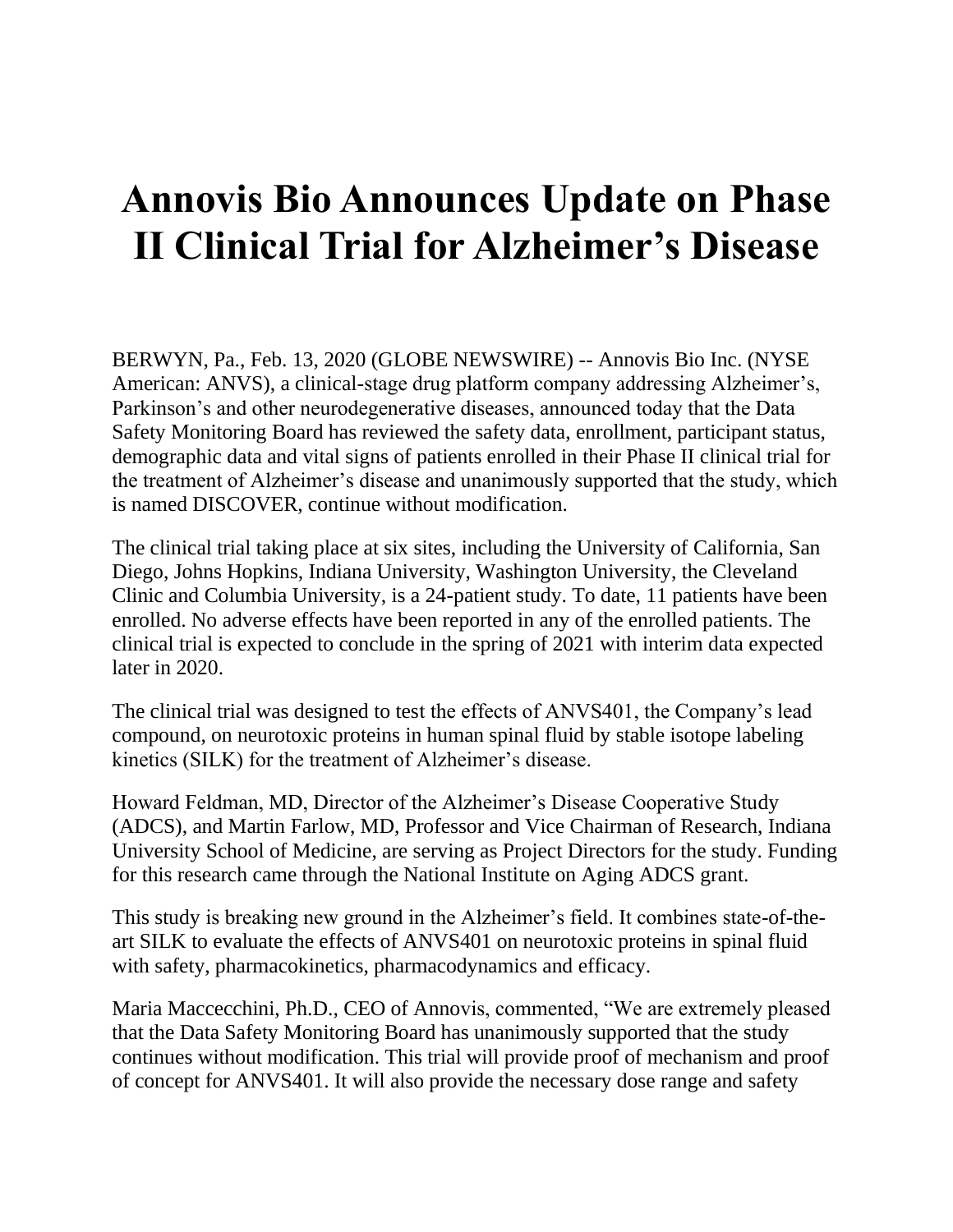## **Annovis Bio Announces Update on Phase II Clinical Trial for Alzheimer's Disease**

BERWYN, Pa., Feb. 13, 2020 (GLOBE NEWSWIRE) -- Annovis Bio Inc. (NYSE American: ANVS), a clinical-stage drug platform company addressing Alzheimer's, Parkinson's and other neurodegenerative diseases, announced today that the Data Safety Monitoring Board has reviewed the safety data, enrollment, participant status, demographic data and vital signs of patients enrolled in their Phase II clinical trial for the treatment of Alzheimer's disease and unanimously supported that the study, which is named DISCOVER, continue without modification.

The clinical trial taking place at six sites, including the University of California, San Diego, Johns Hopkins, Indiana University, Washington University, the Cleveland Clinic and Columbia University, is a 24-patient study. To date, 11 patients have been enrolled. No adverse effects have been reported in any of the enrolled patients. The clinical trial is expected to conclude in the spring of 2021 with interim data expected later in 2020.

The clinical trial was designed to test the effects of ANVS401, the Company's lead compound, on neurotoxic proteins in human spinal fluid by stable isotope labeling kinetics (SILK) for the treatment of Alzheimer's disease.

Howard Feldman, MD, Director of the Alzheimer's Disease Cooperative Study (ADCS), and Martin Farlow, MD, Professor and Vice Chairman of Research, Indiana University School of Medicine, are serving as Project Directors for the study. Funding for this research came through the National Institute on Aging ADCS grant.

This study is breaking new ground in the Alzheimer's field. It combines state-of-theart SILK to evaluate the effects of ANVS401 on neurotoxic proteins in spinal fluid with safety, pharmacokinetics, pharmacodynamics and efficacy.

Maria Maccecchini, Ph.D., CEO of Annovis, commented, "We are extremely pleased that the Data Safety Monitoring Board has unanimously supported that the study continues without modification. This trial will provide proof of mechanism and proof of concept for ANVS401. It will also provide the necessary dose range and safety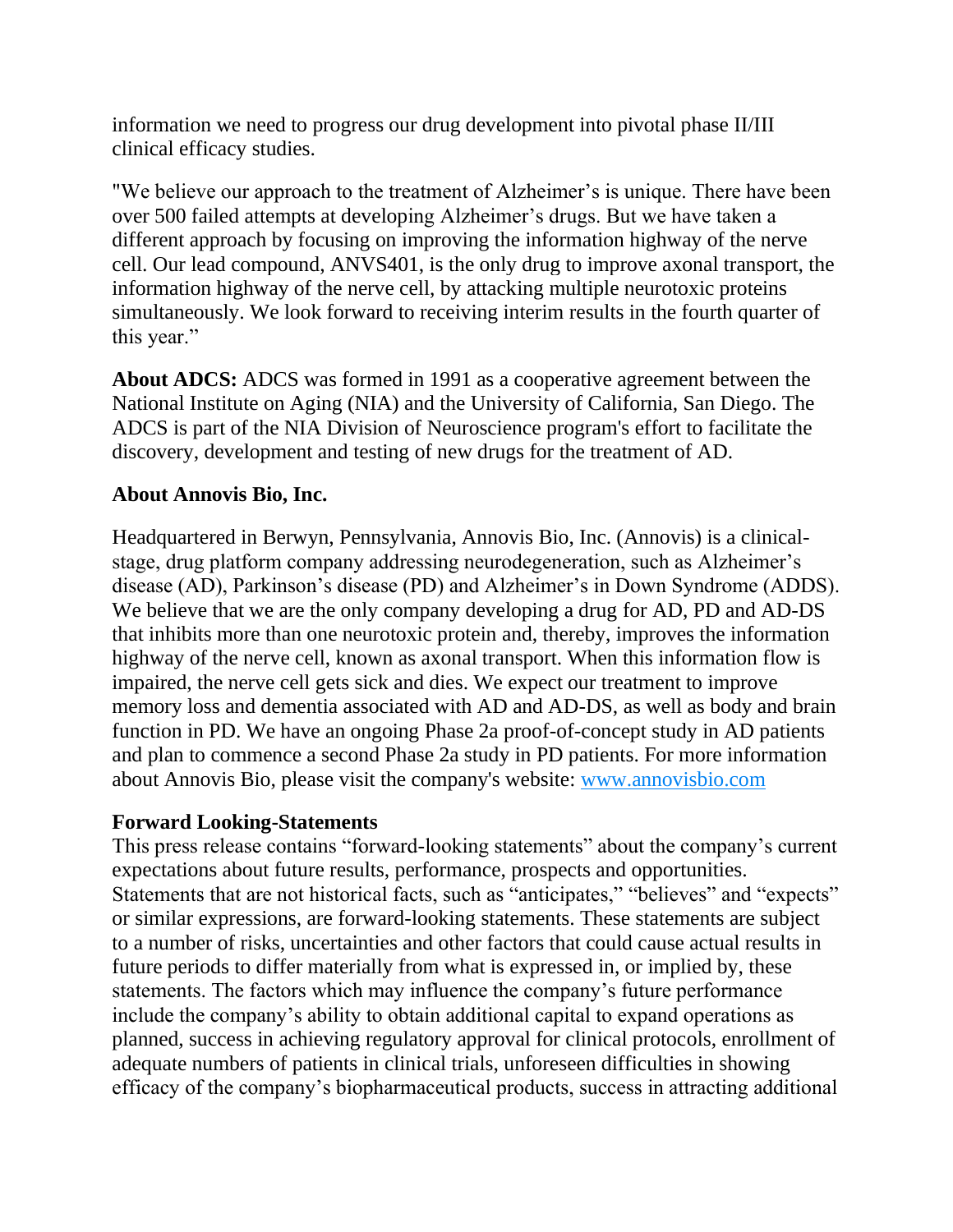information we need to progress our drug development into pivotal phase II/III clinical efficacy studies.

"We believe our approach to the treatment of Alzheimer's is unique. There have been over 500 failed attempts at developing Alzheimer's drugs. But we have taken a different approach by focusing on improving the information highway of the nerve cell. Our lead compound, ANVS401, is the only drug to improve axonal transport, the information highway of the nerve cell, by attacking multiple neurotoxic proteins simultaneously. We look forward to receiving interim results in the fourth quarter of this year."

**About ADCS:** ADCS was formed in 1991 as a cooperative agreement between the National Institute on Aging (NIA) and the University of California, San Diego. The ADCS is part of the NIA Division of Neuroscience program's effort to facilitate the discovery, development and testing of new drugs for the treatment of AD.

## **About Annovis Bio, Inc.**

Headquartered in Berwyn, Pennsylvania, Annovis Bio, Inc. (Annovis) is a clinicalstage, drug platform company addressing neurodegeneration, such as Alzheimer's disease (AD), Parkinson's disease (PD) and Alzheimer's in Down Syndrome (ADDS). We believe that we are the only company developing a drug for AD, PD and AD-DS that inhibits more than one neurotoxic protein and, thereby, improves the information highway of the nerve cell, known as axonal transport. When this information flow is impaired, the nerve cell gets sick and dies. We expect our treatment to improve memory loss and dementia associated with AD and AD-DS, as well as body and brain function in PD. We have an ongoing Phase 2a proof-of-concept study in AD patients and plan to commence a second Phase 2a study in PD patients. For more information about Annovis Bio, please visit the company's website: [www.annovisbio.com](https://www.globenewswire.com/Tracker?data=ptqf4GsxHHu-0GWYj5752z_bRTIjbX-D-YSWL5-AEi_Ln2SKnc6uEceAEKWTX8n144ccdgKMvUmm8l-MZzFa7xOexaIn2cc-WQ5GeB--7DQ=)

## **Forward Looking-Statements**

This press release contains "forward-looking statements" about the company's current expectations about future results, performance, prospects and opportunities. Statements that are not historical facts, such as "anticipates," "believes" and "expects" or similar expressions, are forward-looking statements. These statements are subject to a number of risks, uncertainties and other factors that could cause actual results in future periods to differ materially from what is expressed in, or implied by, these statements. The factors which may influence the company's future performance include the company's ability to obtain additional capital to expand operations as planned, success in achieving regulatory approval for clinical protocols, enrollment of adequate numbers of patients in clinical trials, unforeseen difficulties in showing efficacy of the company's biopharmaceutical products, success in attracting additional